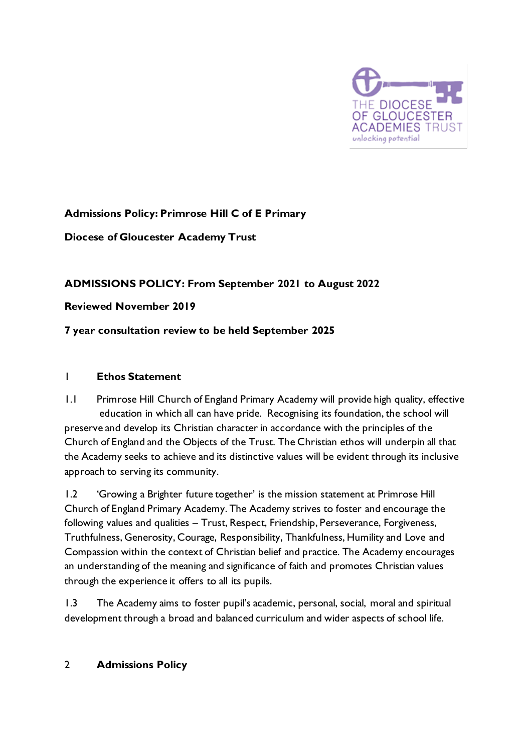

# **Admissions Policy: Primrose Hill C of E Primary**

### **Diocese of Gloucester Academy Trust**

### **ADMISSIONS POLICY: From September 2021 to August 2022**

#### **Reviewed November 2019**

### **7 year consultation review to be held September 2025**

#### 1 **Ethos Statement**

1.1 Primrose Hill Church of England Primary Academy will provide high quality, effective education in which all can have pride. Recognising its foundation, the school will preserve and develop its Christian character in accordance with the principles of the Church of England and the Objects of the Trust. The Christian ethos will underpin all that the Academy seeks to achieve and its distinctive values will be evident through its inclusive approach to serving its community.

1.2 'Growing a Brighter future together' is the mission statement at Primrose Hill Church of England Primary Academy. The Academy strives to foster and encourage the following values and qualities – Trust, Respect, Friendship, Perseverance, Forgiveness, Truthfulness, Generosity, Courage, Responsibility, Thankfulness, Humility and Love and Compassion within the context of Christian belief and practice. The Academy encourages an understanding of the meaning and significance of faith and promotes Christian values through the experience it offers to all its pupils.

1.3 The Academy aims to foster pupil's academic, personal, social, moral and spiritual development through a broad and balanced curriculum and wider aspects of school life.

#### 2 **Admissions Policy**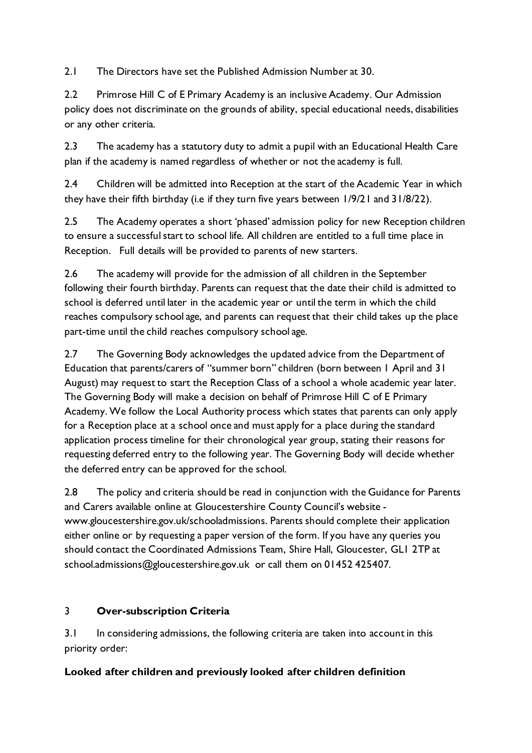2.1 The Directors have set the Published Admission Number at 30.

2.2 Primrose Hill C of E Primary Academy is an inclusive Academy. Our Admission policy does not discriminate on the grounds of ability, special educational needs, disabilities or any other criteria.

2.3 The academy has a statutory duty to admit a pupil with an Educational Health Care plan if the academy is named regardless of whether or not the academy is full.

2.4 Children will be admitted into Reception at the start of the Academic Year in which they have their fifth birthday (i.e if they turn five years between 1/9/21 and 31/8/22).

2.5 The Academy operates a short 'phased' admission policy for new Reception children to ensure a successful start to school life. All children are entitled to a full time place in Reception. Full details will be provided to parents of new starters.

2.6 The academy will provide for the admission of all children in the September following their fourth birthday. Parents can request that the date their child is admitted to school is deferred until later in the academic year or until the term in which the child reaches compulsory school age, and parents can request that their child takes up the place part-time until the child reaches compulsory school age.

2.7 The Governing Body acknowledges the updated advice from the Department of Education that parents/carers of "summer born" children (born between 1 April and 31 August) may request to start the Reception Class of a school a whole academic year later. The Governing Body will make a decision on behalf of Primrose Hill C of E Primary Academy. We follow the Local Authority process which states that parents can only apply for a Reception place at a school once and must apply for a place during the standard application process timeline for their chronological year group, stating their reasons for requesting deferred entry to the following year. The Governing Body will decide whether the deferred entry can be approved for the school.

2.8 The policy and criteria should be read in conjunction with the Guidance for Parents and Carers available online at Gloucestershire County Council's website www.gloucestershire.gov.uk/schooladmissions. Parents should complete their application either online or by requesting a paper version of the form. If you have any queries you should contact the Coordinated Admissions Team, Shire Hall, Gloucester, GL1 2TP at school.admissions@gloucestershire.gov.uk or call them on 01452 425407.

# 3 **Over-subscription Criteria**

3.1 In considering admissions, the following criteria are taken into account in this priority order:

### **Looked after children and previously looked after children definition**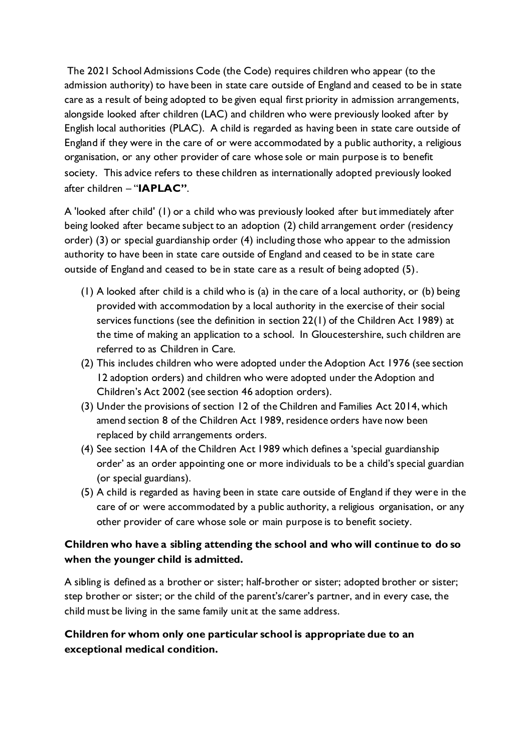The 2021 School Admissions Code (the Code) requires children who appear (to the admission authority) to have been in state care outside of England and ceased to be in state care as a result of being adopted to be given equal first priority in admission arrangements, alongside looked after children (LAC) and children who were previously looked after by English local authorities (PLAC). A child is regarded as having been in state care outside of England if they were in the care of or were accommodated by a public authority, a religious organisation, or any other provider of care whose sole or main purpose is to benefit society. This advice refers to these children as internationally adopted previously looked after children – "**IAPLAC"**.

A 'looked after child' (1) or a child who was previously looked after but immediately after being looked after became subject to an adoption (2) child arrangement order (residency order) (3) or special guardianship order (4) including those who appear to the admission authority to have been in state care outside of England and ceased to be in state care outside of England and ceased to be in state care as a result of being adopted (5).

- (1) A looked after child is a child who is (a) in the care of a local authority, or (b) being provided with accommodation by a local authority in the exercise of their social services functions (see the definition in section 22(1) of the Children Act 1989) at the time of making an application to a school. In Gloucestershire, such children are referred to as Children in Care.
- (2) This includes children who were adopted under the Adoption Act 1976 (see section 12 adoption orders) and children who were adopted under the Adoption and Children's Act 2002 (see section 46 adoption orders).
- (3) Under the provisions of section 12 of the Children and Families Act 2014, which amend section 8 of the Children Act 1989, residence orders have now been replaced by child arrangements orders.
- (4) See section 14A of the Children Act 1989 which defines a 'special guardianship order' as an order appointing one or more individuals to be a child's special guardian (or special guardians).
- (5) A child is regarded as having been in state care outside of England if they were in the care of or were accommodated by a public authority, a religious organisation, or any other provider of care whose sole or main purpose is to benefit society.

## **Children who have a sibling attending the school and who will continue to do so when the younger child is admitted.**

A sibling is defined as a brother or sister; half-brother or sister; adopted brother or sister; step brother or sister; or the child of the parent's/carer's partner, and in every case, the child must be living in the same family unit at the same address.

## **Children for whom only one particular school is appropriate due to an exceptional medical condition.**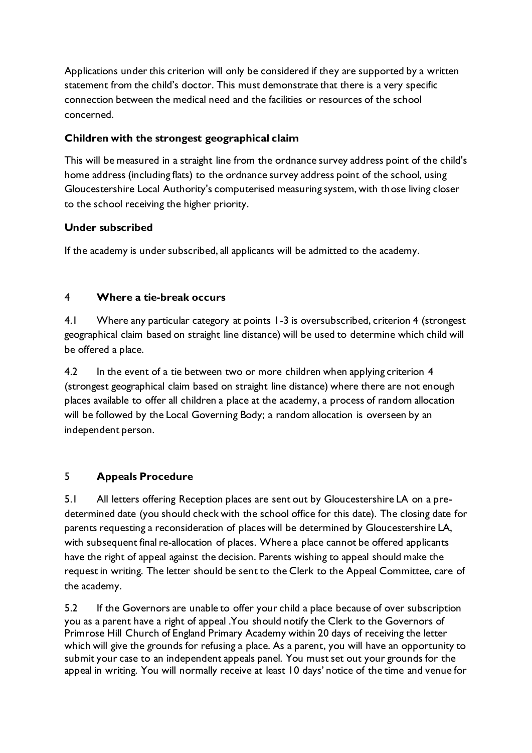Applications under this criterion will only be considered if they are supported by a written statement from the child's doctor. This must demonstrate that there is a very specific connection between the medical need and the facilities or resources of the school concerned.

## **Children with the strongest geographical claim**

This will be measured in a straight line from the ordnance survey address point of the child's home address (including flats) to the ordnance survey address point of the school, using Gloucestershire Local Authority's computerised measuring system, with those living closer to the school receiving the higher priority.

### **Under subscribed**

If the academy is under subscribed, all applicants will be admitted to the academy.

# 4 **Where a tie-break occurs**

4.1 Where any particular category at points 1-3 is oversubscribed, criterion 4 (strongest geographical claim based on straight line distance) will be used to determine which child will be offered a place.

4.2 In the event of a tie between two or more children when applying criterion 4 (strongest geographical claim based on straight line distance) where there are not enough places available to offer all children a place at the academy, a process of random allocation will be followed by the Local Governing Body; a random allocation is overseen by an independent person.

# 5 **Appeals Procedure**

5.1 All letters offering Reception places are sent out by Gloucestershire LA on a predetermined date (you should check with the school office for this date). The closing date for parents requesting a reconsideration of places will be determined by Gloucestershire LA, with subsequent final re-allocation of places. Where a place cannot be offered applicants have the right of appeal against the decision. Parents wishing to appeal should make the request in writing. The letter should be sent to the Clerk to the Appeal Committee, care of the academy.

5.2 If the Governors are unable to offer your child a place because of over subscription you as a parent have a right of appeal .You should notify the Clerk to the Governors of Primrose Hill Church of England Primary Academy within 20 days of receiving the letter which will give the grounds for refusing a place. As a parent, you will have an opportunity to submit your case to an independent appeals panel. You must set out your grounds for the appeal in writing. You will normally receive at least 10 days' notice of the time and venue for